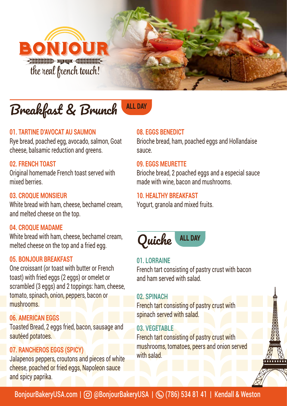

# Breakfast & Brunch ALL DAY

#### **01. TARTINE D'AVOCAT AU SAUMON**

Rye bread, poached egg, avocado, salmon, Goat cheese, balsamic reduction and greens.

#### **02. FRENCH TOAST**

Original homemade French toast served with mixed berries.

#### **03. CROQUE MONSIEUR**

White bread with ham, cheese, bechamel cream, and melted cheese on the top.

#### **04. CROQUE MADAME**

White bread with ham, cheese, bechamel cream, melted cheese on the top and a fried egg.

#### **05. BONJOUR BREAKFAST**

One croissant (or toast with butter or French toast) with fried eggs (2 eggs) or omelet or scrambled (3 eggs) and 2 toppings: ham, cheese, tomato, spinach, onion, peppers, bacon or mushrooms.

#### **06. AMERICAN EGGS**

Toasted Bread, 2 eggs fried, bacon, sausage and sautéed potatoes.

#### **07. RANCHEROS EGGS (SPICY)**

Jalapenos peppers, croutons and pieces of white cheese, poached or fried eggs, Napoleon sauce and spicy paprika.

#### **08. EGGS BENEDICT**

Brioche bread, ham, poached eggs and Hollandaise sauce.

#### **09. EGGS MEURETTE**

Brioche bread, 2 poached eggs and a especial sauce made with wine, bacon and mushrooms.

#### **10. HEALTHY BREAKFAST**

Yogurt, granola and mixed fruits.



#### **01. LORRAINE**

French tart consisting of pastry crust with bacon and ham served with salad.

#### **02. SPINACH**

French tart consisting of pastry crust with spinach served with salad.

#### **03. VEGETABLE**

French tart consisting of pastry crust with mushrooms, tomatoes, peers and onion served with salad.

BonjourBakeryUSA.com | O @BonjourBakeryUSA | (20 (786) 534 81 41 | Kendall & Weston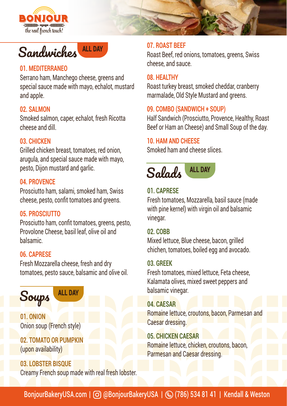

## Sandwiches ALL DAY

#### **01. MEDITERRANEO**

Serrano ham, Manchego cheese, greens and special sauce made with mayo, echalot, mustard and apple.

#### **02. SALMON**

Smoked salmon, caper, echalot, fresh Ricotta cheese and dill.

#### **03. CHICKEN**

Grilled chicken breast, tomatoes, red onion, arugula, and special sauce made with mayo, pesto, Dijon mustard and garlic.

#### **04. PROVENCE**

Prosciutto ham, salami, smoked ham, Swiss cheese, pesto, confit tomatoes and greens.

#### **05. PROSCIUTTO**

Prosciutto ham, confit tomatoes, greens, pesto, Provolone Cheese, basil leaf, olive oil and balsamic.

#### **06. CAPRESE**

Fresh Mozzarella cheese, fresh and dry tomatoes, pesto sauce, balsamic and olive oil.



**01. ONION** Onion soup (French style)

**02. TOMATO OR PUMPKIN** (upon availability)

**03. LOBSTER BISQUE** Creamy French soup made with real fresh lobster.

#### **07. ROAST BEEF**

Roast Beef, red onions, tomatoes, greens, Swiss cheese, and sauce.

#### **08. HEALTHY**

Roast turkey breast, smoked cheddar, cranberry marmalade, Old Style Mustard and greens.

#### **09. COMBO (SANDWICH + SOUP)**

Half Sandwich (Prosciutto, Provence, Healthy, Roast Beef or Ham an Cheese) and Small Soup of the day.

#### **10. HAM AND CHEESE**

Smoked ham and cheese slices.



#### **01. CAPRESE**

Fresh tomatoes, Mozzarella, basil sauce (made with pine kernel) with virgin oil and balsamic vinegar.

#### **02. COBB**

Mixed lettuce, Blue cheese, bacon, grilled chichen, tomatoes, boiled egg and avocado.

#### **03. GREEK**

Fresh tomatoes, mixed lettuce, Feta cheese, Kalamata olives, mixed sweet peppers and balsamic vinegar.

#### **04. CAESAR**

Romaine lettuce, croutons, bacon, Parmesan and Caesar dressing.

#### **05. CHICKEN CAESAR**

Romaine lettuce, chicken, croutons, bacon, Parmesan and Caesar dressing.

BonjourBakeryUSA.com | © @BonjourBakeryUSA |  $\textcircled{}$  (786) 534 81 41 | Kendall & Weston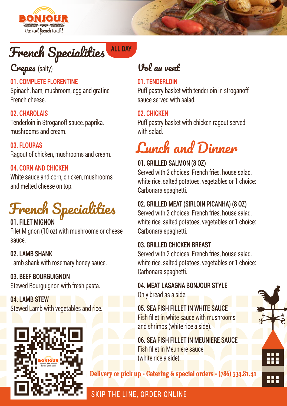

# French Specialities ALL DAY

## Crepes (salty)

#### **01. COMPLETE FLORENTINE**

Spinach, ham, mushroom, egg and gratine French cheese.

#### **02. CHAROLAIS**

Tenderloin in Stroganoff sauce, paprika, mushrooms and cream.

**03. FLOURAS** Ragout of chicken, mushrooms and cream.

#### **04. CORN AND CHICKEN**

White sauce and corn, chicken, mushrooms and melted cheese on top.

# French Specialities

**01. FILET MIGNO** Filet Mignon (10 oz) with mushrooms or cheese sauce.

**02. LAMB SHANK** Lamb shank with rosemary honey sauce.

**03. BEEF BOURGUIGNON**  Stewed Bourguignon with fresh pasta.

**04. LAMB STEW** Stewed Lamb with vegetables and rice.



## Vol au vent

#### **01. TENDERLOIN**

Puff pastry basket with tenderloin in stroganoff sauce served with salad.

#### **02. CHICKEN**

Puff pastry basket with chicken ragout served with salad.

# Lunch and Dinner

#### **01. GRILLED SALMON (8 OZ)**

Served with 2 choices: French fries, house salad, white rice, salted potatoes, vegetables or 1 choice: Carbonara spaghetti.

#### **02. GRILLED MEAT (SIRLOIN PICANHA) (8 OZ)**

Served with 2 choices: French fries, house salad, white rice, salted potatoes, vegetables or 1 choice: Carbonara spaghetti.

#### **03. GRILLED CHICKEN BREAST**

Served with 2 choices: French fries, house salad white rice, salted potatoes, vegetables or 1 choice: Carbonara spaghetti.

#### **04. MEAT LASAGNA BONJOUR STYLE** Only bread as a side.

**05. SEA FISH FILLET IN WHITE SAUCE** Fish fillet in white sauce with mushrooms and shrimps (white rice a side).

**06. SEA FISH FILLET IN MEUNIERE SAUCE** Fish fillet in Meuniere sauce (white rice a side).

Delivery or pick up - Catering & special orders - (786) 534.81.41



### SKIP THE LINE, ORDER ONLINE